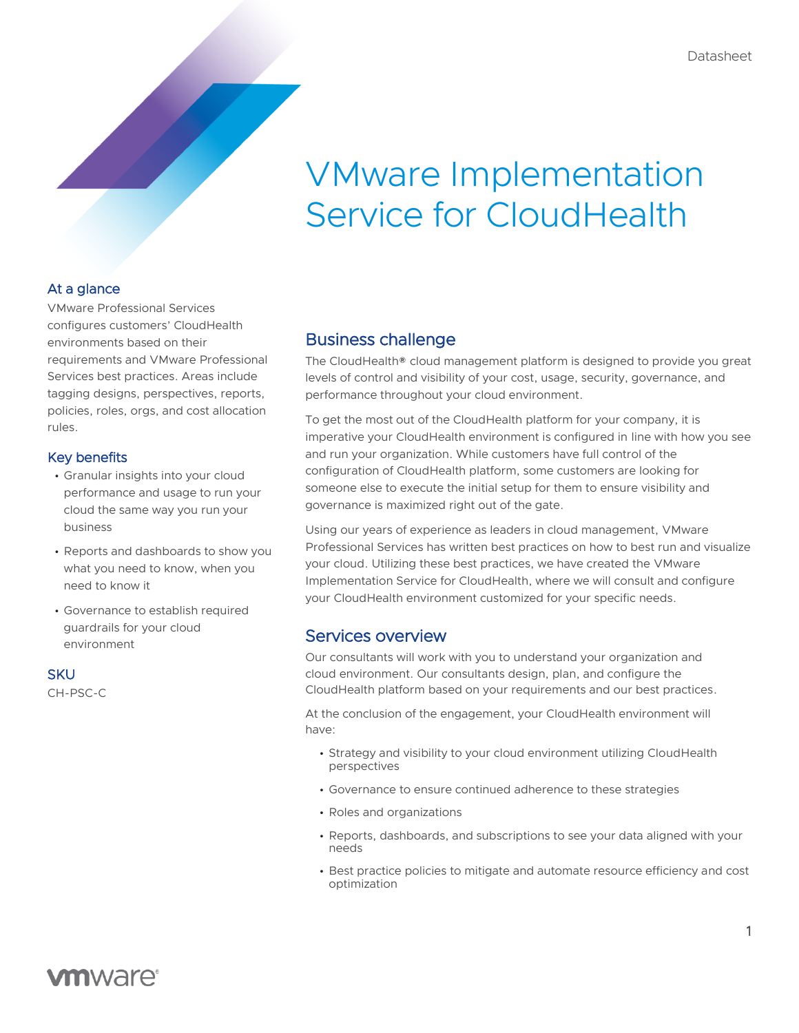# VMware Implementation Service for CloudHealth

### At a glance

VMware Professional Services configures customers' CloudHealth environments based on their requirements and VMware Professional Services best practices. Areas include tagging designs, perspectives, reports, policies, roles, orgs, and cost allocation rules.

#### Key benefits

- Granular insights into your cloud performance and usage to run your cloud the same way you run your business
- Reports and dashboards to show you what you need to know, when you need to know it
- Governance to establish required guardrails for your cloud environment

# **SKU**

CH-PSC-C

# Business challenge

The CloudHealth® cloud management platform is designed to provide you great levels of control and visibility of your cost, usage, security, governance, and performance throughout your cloud environment.

To get the most out of the CloudHealth platform for your company, it is imperative your CloudHealth environment is configured in line with how you see and run your organization. While customers have full control of the configuration of CloudHealth platform, some customers are looking for someone else to execute the initial setup for them to ensure visibility and governance is maximized right out of the gate.

Using our years of experience as leaders in cloud management, VMware Professional Services has written best practices on how to best run and visualize your cloud. Utilizing these best practices, we have created the VMware Implementation Service for CloudHealth, where we will consult and configure your CloudHealth environment customized for your specific needs.

# Services overview

Our consultants will work with you to understand your organization and cloud environment. Our consultants design, plan, and configure the CloudHealth platform based on your requirements and our best practices.

At the conclusion of the engagement, your CloudHealth environment will have:

- Strategy and visibility to your cloud environment utilizing CloudHealth perspectives
- Governance to ensure continued adherence to these strategies
- Roles and organizations
- Reports, dashboards, and subscriptions to see your data aligned with your needs
- Best practice policies to mitigate and automate resource efficiency and cost optimization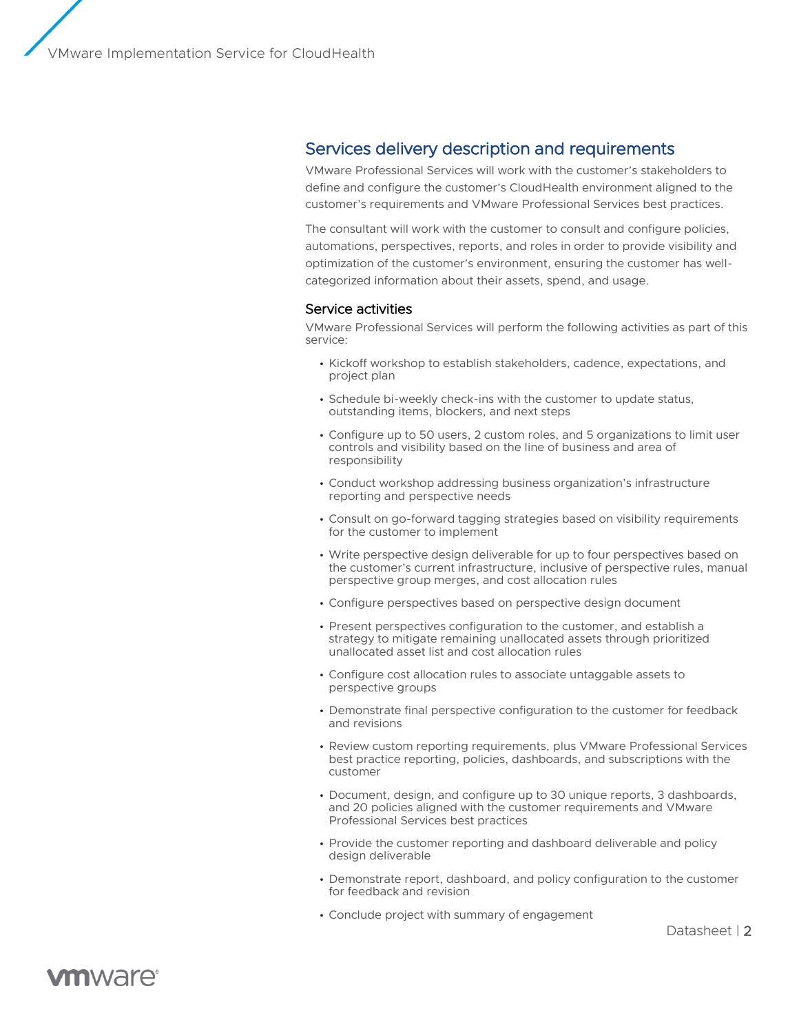VMware Implementation Service for CloudHealth

## Services delivery description and requirements

VMware Professional Services will work with the customer's stakeholders to define and configure the customer's CloudHealth environment aligned to the customer's requirements and VMware Professional Services best practices.

The consultant will work with the customer to consult and configure policies, automations, perspectives, reports, and roles in order to provide visibility and optimization of the customer's environment, ensuring the customer has wellcategorized information about their assets, spend, and usage.

#### Service activities

VMware Professional Services will perform the following activities as part of this service:

- Kickoff workshop to establish stakeholders, cadence, expectations, and project plan
- Schedule bi-weekly check-ins with the customer to update status, outstanding items, blockers, and next steps
- Configure up to 50 users, 2 custom roles, and 5 organizations to limit user controls and visibility based on the line of business and area of responsibility
- Conduct workshop addressing business organization's infrastructure reporting and perspective needs
- Consult on go-forward tagging strategies based on visibility requirements for the customer to implement
- Write perspective design deliverable for up to four perspectives based on the customer's current infrastructure, inclusive of perspective rules, manual perspective group merges, and cost allocation rules
- Configure perspectives based on perspective design document
- Present perspectives configuration to the customer, and establish a strategy to mitigate remaining unallocated assets through prioritized unallocated asset list and cost allocation rules
- Configure cost allocation rules to associate untaggable assets to perspective groups
- Demonstrate final perspective configuration to the customer for feedback and revisions
- Review custom reporting requirements, plus VMware Professional Services best practice reporting, policies, dashboards, and subscriptions with the customer
- Document, design, and configure up to 30 unique reports, 3 dashboards, and 20 policies aligned with the customer requirements and VMware Professional Services best practices
- Provide the customer reporting and dashboard deliverable and policy design deliverable
- Demonstrate report, dashboard, and policy configuration to the customer for feedback and revision
- Conclude project with summary of engagement

Datasheet | 2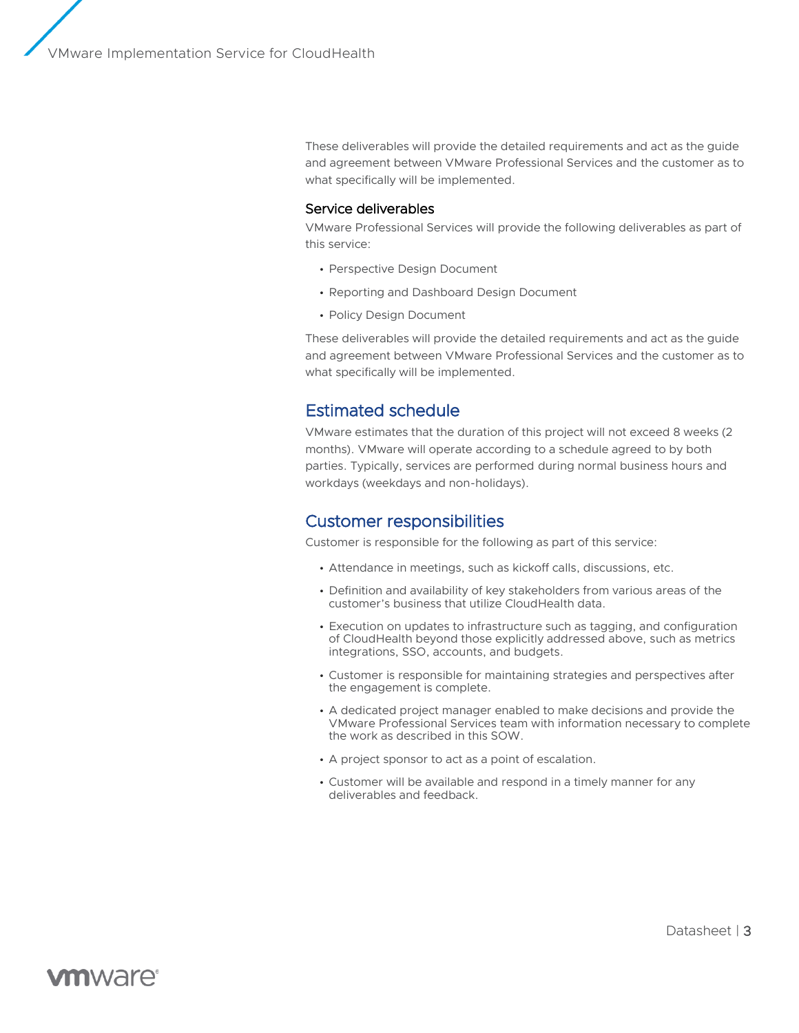These deliverables will provide the detailed requirements and act as the guide and agreement between VMware Professional Services and the customer as to what specifically will be implemented.

#### Service deliverables

VMware Professional Services will provide the following deliverables as part of this service:

- Perspective Design Document
- Reporting and Dashboard Design Document
- Policy Design Document

These deliverables will provide the detailed requirements and act as the guide and agreement between VMware Professional Services and the customer as to what specifically will be implemented.

# Estimated schedule

VMware estimates that the duration of this project will not exceed 8 weeks (2 months). VMware will operate according to a schedule agreed to by both parties. Typically, services are performed during normal business hours and workdays (weekdays and non-holidays).

### Customer responsibilities

Customer is responsible for the following as part of this service:

- Attendance in meetings, such as kickoff calls, discussions, etc.
- Definition and availability of key stakeholders from various areas of the customer's business that utilize CloudHealth data.
- Execution on updates to infrastructure such as tagging, and configuration of CloudHealth beyond those explicitly addressed above, such as metrics integrations, SSO, accounts, and budgets.
- Customer is responsible for maintaining strategies and perspectives after the engagement is complete.
- A dedicated project manager enabled to make decisions and provide the VMware Professional Services team with information necessary to complete the work as described in this SOW.
- A project sponsor to act as a point of escalation.
- Customer will be available and respond in a timely manner for any deliverables and feedback.

#### Datasheet | 3

# **vm**ware<sup>®</sup>